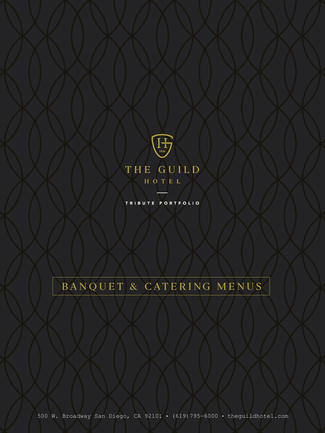

TRIBUTE PORTFOLIO

# BANQUET & CATERING MENUS

500 W. Broadway San Diego, CA 92101 • (619)795-6000 • theguildhotel.com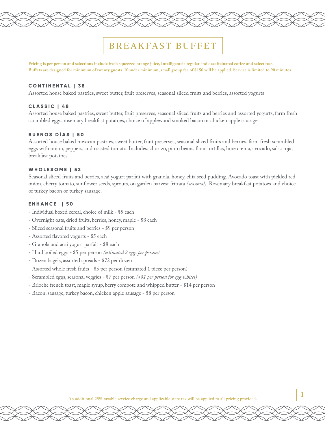## BREAKFAST BUFFET

**Pricing is per person and selections include fresh squeezed orange juice, Intelligentsia regular and decaffeinated coffee and select teas. Buffets are designed for minimum of twenty guests. If under minimum, small group fee of \$150 will be applied. Service is limited to 90 minutes.**

#### **CONTINENTAL | 38**

Assorted house baked pastries, sweet butter, fruit preserves, seasonal sliced fruits and berries, assorted yogurts

#### **CLASSIC | 48**

Assorted house baked pastries, sweet butter, fruit preserves, seasonal sliced fruits and berries and assorted yogurts, farm fresh scrambled eggs, rosemary breakfast potatoes, choice of applewood smoked bacon or chicken apple sausage

#### **BUENOS DÍAS | 50**

Assorted house baked mexican pastries, sweet butter, fruit preserves, seasonal sliced fruits and berries, farm fresh scrambled eggs with onion, peppers, and roasted tomato. Includes: chorizo, pinto beans, flour tortillas, lime crema, avocado, salsa roja, breakfast potatoes

### **WHOLESOME | 52**

Seasonal sliced fruits and berries, acai yogurt parfait with granola. honey, chia seed pudding. Avocado toast with pickled red onion, cherry tomato, sunflower seeds, sprouts, on garden harvest frittata *(seasonal)*. Rosemary breakfast potatoes and choice of turkey bacon or turkey sausage.

#### **ENHANCE | 50**

- Individual boxed cereal, choice of milk \$5 each
- Overnight oats, dried fruits, berries, honey, maple \$8 each
- Sliced seasonal fruits and berries \$9 per person
- Assorted flavored yogurts \$5 each
- Granola and acai yogurt parfait \$8 each
- Hard boiled eggs \$5 per person *(estimated 2 eggs per person)*
- Dozen bagels, assorted spreads \$72 per dozen
- Assorted whole fresh fruits \$5 per person (estimated 1 piece per person)
- Scrambled eggs, seasonal veggies \$7 per person *(+\$1 per person for egg whites)*
- Brioche french toast, maple syrup, berry compote and whipped butter \$14 per person
- Bacon, sausage, turkey bacon, chicken apple sausage \$8 per person

An additional 25% taxable service charge and applicable state tax will be applied to all pricing provided.

1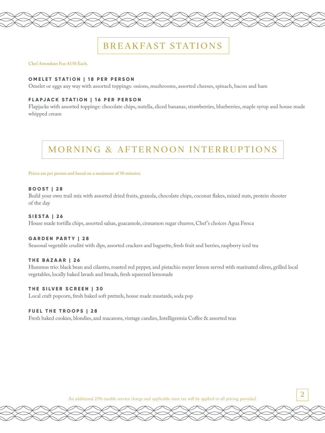## BREAKFAST STATIONS

#### **Chef Attendant Fee: \$150 Each.**

#### **OMELET STATION | 18 PER PERSON**

Omelet or eggs any way with assorted toppings: onions, mushrooms, assorted cheeses, spinach, bacon and ham

#### **FLAPJACK STATION | 16 PER PERSON**

Flapjacks with assorted toppings: chocolate chips, nutella, sliced bananas, strawberries, blueberries, maple syrup and house made whipped cream

## MORNING & AFTERNOON INTERRUPTIONS

#### **Prices are per person and based on a maximum of 30 minutes.**

#### **BOOST | 28**

Build your own trail mix with assorted dried fruits, granola, chocolate chips, coconut flakes, mixed nuts, protein shooter of the day

#### **SIESTA | 26**

House made tortilla chips, assorted salsas, guacamole, cinnamon sugar churros, Chef 's choices Agua Fresca

#### **GARDEN PARTY | 28**

Seasonal vegetable crudité with dips, assorted crackers and baguette, fresh fruit and berries, raspberry iced tea

#### **THE BAZAAR | 26**

Hummus trio: black bean and cilantro, roasted red pepper, and pistachio meyer lemon served with marinated olives, grilled local vegetables, locally baked lavash and breads, fresh squeezed lemonade

### **THE SILVER SCREEN | 30**

Local craft popcorn, fresh baked soft pretzels, house made mustards, soda pop

#### **FUEL THE TROOPS | 28**

Fresh baked cookies, blondies, and macarons, vintage candies, Intelligentsia Coffee & assorted teas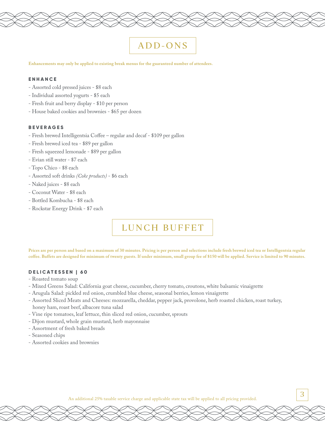## ADD-ONS

**Enhancements may only be applied to existing break menus for the guaranteed number of attendees.**

#### **ENHANCE**

- Assorted cold pressed juices \$8 each
- Individual assorted yogurts \$5 each
- Fresh fruit and berry display \$10 per person
- House baked cookies and brownies \$65 per dozen

#### **BEVERAGES**

- Fresh brewed Intelligentsia Coffee regular and decaf \$109 per gallon
- Fresh brewed iced tea \$89 per gallon
- Fresh squeezed lemonade \$89 per gallon
- Evian still water \$7 each
- Topo Chico \$8 each
- Assorted soft drinks *(Coke products)* \$6 each
- Naked juices \$8 each
- Coconut Water \$8 each
- Bottled Kombucha \$8 each
- Rockstar Energy Drink \$7 each

## LUNCH BUFFET

**Prices are per person and based on a maximum of 30 minutes. Pricing is per person and selections include fresh brewed iced tea or Intelligentsia regular coffee. Buffets are designed for minimum of twenty guests. If under minimum, small group fee of \$150 will be applied. Service is limited to 90 minutes.**

#### **DELICATESSEN | 60**

- Roasted tomato soup
- Mixed Greens Salad: California goat cheese, cucumber, cherry tomato, croutons, white balsamic vinaigrette
- Arugula Salad: pickled red onion, crumbled blue cheese, seasonal berries, lemon vinaigrette
- Assorted Sliced Meats and Cheeses: mozzarella, cheddar, pepper jack, provolone, herb roasted chicken, roast turkey, honey ham, roast beef, albacore tuna salad
- Vine ripe tomatoes, leaf lettuce, thin sliced red onion, cucumber, sprouts
- Dijon mustard, whole grain mustard, herb mayonnaise
- Assortment of fresh baked breads
- Seasoned chips
- Assorted cookies and brownies

An additional 25% taxable service charge and applicable state tax will be applied to all pricing provided.  $\overline{\hspace{0.1cm}}^3$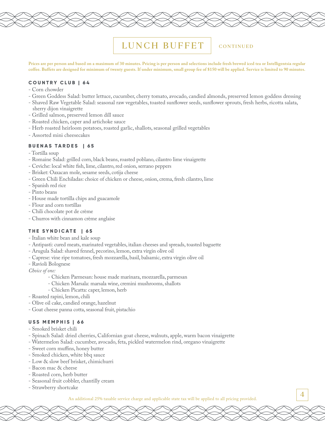## LUNCH BUFFET

### CONTINUED

4

**Prices are per person and based on a maximum of 30 minutes. Pricing is per person and selections include fresh brewed iced tea or Intelligentsia regular coffee. Buffets are designed for minimum of twenty guests. If under minimum, small group fee of \$150 will be applied. Service is limited to 90 minutes.**

#### **COUNTRY CLUB | 64**

- Corn chowder
- Green Goddess Salad: butter lettuce, cucumber, cherry tomato, avocado, candied almonds, preserved lemon goddess dressing
- Shaved Raw Vegetable Salad: seasonal raw vegetables, toasted sunflower seeds, sunflower sprouts, fresh herbs, ricotta salata,
- sherry dijon vinaigrette
- Grilled salmon, preserved lemon dill sauce
- Roasted chicken, caper and artichoke sauce
- Herb roasted heirloom potatoes, roasted garlic, shallots, seasonal grilled vegetables
- Assorted mini cheesecakes

#### **BUENAS TARDES | 65**

- Tortilla soup
- Romaine Salad: grilled corn, black beans, roasted poblano, cilantro lime vinaigrette
- Ceviche: local white fish, lime, cilantro, red onion, serrano peppers
- Brisket: Oaxacan mole, sesame seeds, cotija cheese
- Green Chili Enchiladas: choice of chicken or cheese, onion, crema, fresh cilantro, lime
- Spanish red rice
- Pinto beans
- House made tortilla chips and guacamole
- Flour and corn tortillas
- Chili chocolate pot de crème
- Churros with cinnamon crème anglaise

#### **THE SYNDICATE | 65**

- Italian white bean and kale soup
- Antipasti: cured meats, marinated vegetables, italian cheeses and spreads, toasted baguette
- Arugula Salad: shaved fennel, pecorino, lemon, extra virgin olive oil
- Caprese: vine ripe tomatoes, fresh mozzarella, basil, balsamic, extra virgin olive oil
- Ravioli Bolognese

*Choice of one:* 

- Chicken Parmesan: house made marinara, mozzarella, parmesan
- Chicken Marsala: marsala wine, cremini mushrooms, shallots
- Chicken Picatta: caper, lemon, herb
- Roasted rapini, lemon, chili
- Olive oil cake, candied orange, hazelnut
- Goat cheese panna cotta, seasonal fruit, pistachio

#### **USS MEMPHIS | 66**

- Smoked brisket chili
- Spinach Salad: dried cherries, Californian goat cheese, walnuts, apple, warm bacon vinaigrette
- Watermelon Salad: cucumber, avocado, feta, pickled watermelon rind, oregano vinaigrette
- Sweet corn muffins, honey butter
- Smoked chicken, white bbq sauce
- Low & slow beef brisket, chimichurri
- Bacon mac & cheese
- Roasted corn, herb butter
- Seasonal fruit cobbler, chantilly cream
- Strawberry shortcake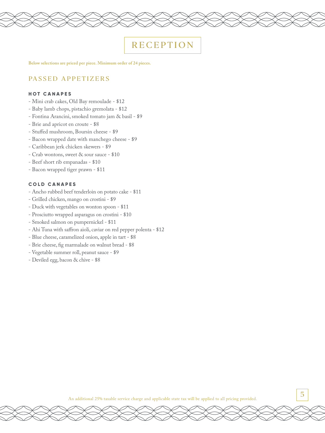## **RECEPTION**

**Below selections are priced per piece. Minimum order of 24 pieces.**

## PASSED APPETIZERS

#### **HOT CANAPES**

- Mini crab cakes, Old Bay remoulade \$12
- Baby lamb chops, pistachio gremolata \$12
- Fontina Arancini, smoked tomato jam & basil \$9
- Brie and apricot en croute \$8
- Stuffed mushroom, Boursin cheese \$9
- Bacon wrapped date with manchego cheese \$9
- Caribbean jerk chicken skewers \$9
- Crab wontons, sweet & sour sauce \$10
- Beef short rib empanadas \$10
- Bacon wrapped tiger prawn \$11

#### **COLD CANAPES**

- Ancho rubbed beef tenderloin on potato cake \$11
- Grilled chicken, mango on crostini \$9
- Duck with vegetables on wonton spoon \$11
- Prosciutto wrapped asparagus on crostini \$10
- Smoked salmon on pumpernickel \$11
- Ahi Tuna with saffron aioli, caviar on red pepper polenta \$12
- Blue cheese, caramelized onion, apple in tart \$8
- Brie cheese, fig marmalade on walnut bread \$8
- Vegetable summer roll, peanut sauce \$9
- Deviled egg, bacon & chive \$8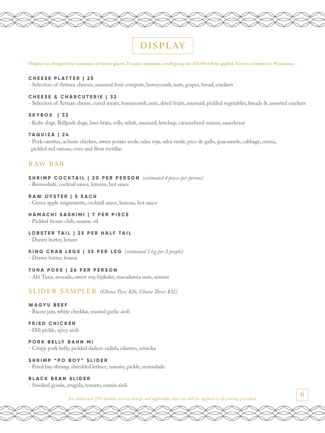# DISPLAY

**Displays are designed for minimum of twenty guests. If under minimum, small group fee of \$150 will be applied. Service is limited to 90 minutes.**

#### **CHEESE PLATTER | 25**

- Selection of Artisan cheeses, seasonal fruit compote, honeycomb, nuts, grapes, bread, crackers

### **CHEESE & CHARCUTERIE | 32**

- Selection of Artisan cheese, cured meats, honeycomb, nuts, dried fruits, mustard, pickled vegetables, breads & assorted crackers

### **SKYBOX | 32**

- Kobe dogs, Ballpark dogs, beer brats, rolls, relish, mustard, ketchup, caramelized onions, sauerkraut

#### **TAQUIZA | 24**

- Pork carnitas, achiote chicken, sweet potato mole, salsa roja, salsa verde, pico de gallo, guacamole, cabbage, crema, pickled red onions, corn and flour tortillas

## R AW BA R

#### **SHRIMP COCKTAIL | 20 PER PERSON** *(estimated 4 pieces per person)*

- Remoulade, cocktail sauce, lemons, hot sauce

#### **RAW OYSTER | 5 EACH**

- Green apple mignonette, cocktail sauce, lemons, hot sauce

### **HAMACHI SASHIMI | 7 PER PIECE**

- Pickled fresno chili, sesame oil

#### **LOBSTER TAIL | 25 PER HALF TAIL**

- Drawn butter, lemon

#### **KING CRAB LEGS | 35 PER LEG** *(estimated 1 leg per 2 people)*

- Drawn butter, lemon

### **TUNA POKE | 26 PER PERSON**

- Ahi Tuna, avocado, sweet soy, fujikake, macadamia nuts, sesame

SLIDER SAMPLER *(Choose Two: \$26, Choose Three: \$32)*

#### **WAGYU BEEF**

- Bacon jam, white cheddar, roasted garlic aioli

#### **FRIED CHICKEN**

- Dill pickle, spicy aioli

#### **PORK BELLY BAHN MI**

- Crispy pork belly, pickled daikon radish, cilantro, sriracha

#### **SHRIMP "PO BOY" SLIDER**

- Fried bay shrimp, shredded lettuce, tomato, pickle, remoulade

#### **BLACK BEAN SLIDER**

- Smoked gouda, arugula, tomato, cumin aioli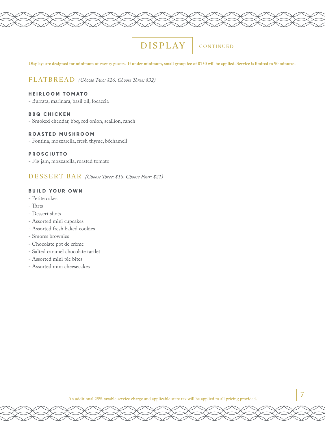## DISPLAY

## **CONTINUED**

**Displays are designed for minimum of twenty guests. If under minimum, small group fee of \$150 will be applied. Service is limited to 90 minutes.** 

### FLATBREAD *(Choose Two: \$26, Choose Three: \$32)*

## **HEIRLOOM TOMATO**

- Burrata, marinara, basil oil, focaccia

#### **BBQ CHICKEN**

- Smoked cheddar, bbq, red onion, scallion, ranch

#### **ROASTED MUSHROOM**

- Fontina, mozzarella, fresh thyme, béchamell

## **PROSCIUTTO**

- Fig jam, mozzarella, roasted tomato

DESSERT BAR *(Choose Three: \$18, Choose Four: \$21)*

#### **BUILD YOUR OWN**

- Petite cakes
- Tarts
- Dessert shots
- Assorted mini cupcakes
- Assorted fresh baked cookies
- Smores brownies
- Chocolate pot de crème
- Salted caramel chocolate tartlet
- Assorted mini pie bites
- Assorted mini cheesecakes

An additional 25% taxable service charge and applicable state tax will be applied to all pricing provided.

7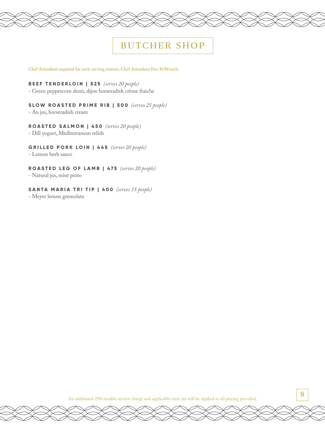## BUTCHER SHOP

**Chef Attendant required for each carving station. Chef Attendant Fee: \$150 each.**

#### **BEEF TENDERLOIN | 525** *(serves 20 people)*

- Green peppercorn demi, dijon horseradish crème fraiche

## **SLOW ROASTED PRIME RIB | 500** *(serves 25 people)*

- Au jus, horseradish cream

### **ROASTED SALMON | 450** *(serves 20 people)*

- Dill yogurt, Mediterranean relish

### **GRILLED PORK LOIN | 445** *(serves 20 people)*

- Lemon herb sauce

#### **ROASTED LEG OF LAMB | 475** *(serves 20 people)*

- Natural jus, mint pesto

#### **SANTA MARIA TRI TIP | 400** *(serves 15 people)*

- Meyer lemon gremolata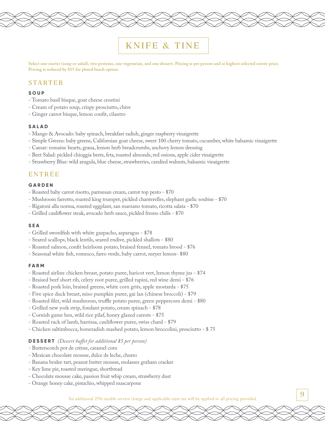## KNIFE & TINE

**Select one starter (soup or salad), two proteins, one vegetarian, and one dessert. Pricing is per person and at highest selected entrée price. Pricing is reduced by \$15 for plated lunch option.**

## **STARTER**

#### **SOUP**

- Tomato basil bisque, goat cheese crostini
- Cream of potato soup, crispy prosciutto, chive
- Ginger carrot bisque, lemon confit, cilantro

#### **SALAD**

- Mango & Avocado: baby spinach, breakfast radish, ginger raspberry vinaigrette
- Simple Greens: baby greens, Californian goat cheese, sweet 100 cherry tomato, cucumber, white balsamic vinaigrette
- Caesar: romaine hearts, grana, lemon herb breadcrumbs, anchovy lemon dressing
- Beet Salad: pickled chioggia beets, feta, toasted almonds, red onions, apple cider vinaigrette
- Strawberry Blue: wild arugula, blue cheese, strawberries, candied walnuts, balsamic vinaigrette

## **ENTREE**

### **GARDEN**

- Roasted baby carrot risotto, parmesan cream, carrot top pesto \$70
- Mushroom farrotto, roasted king trumpet, pickled chanterelles, elephant garlic soubise \$70
- Rigatoni alla norma, roasted eggplant, san marzano tomato, ricotta salata \$70
- Grilled cauliflower steak, avocado herb sauce, pickled fresno chilis \$70

#### **SEA**

- Grilled swordfish with white gazpacho, asparagus \$78
- Seared scallops, black lentils, seared endive, pickled shallots \$80
- Roasted salmon, confit heirloom potato, braised fennel, tomato brood \$76
- Seasonal white fish, romesco, farro verde, baby carrot, meyer lemon- \$80

#### **FARM**

- Roasted airline chicken breast, potato puree, haricot vert, lemon thyme jus \$74
- Braised beef short rib, celery root puree, grilled rapini, red wine demi \$76
- Roasted pork loin, braised greens, white corn grits, apple mostarda \$75
- Five spice duck breast, miso pumpkin puree, gai lan (chinese broccoli) \$79
- Roasted filet, wild mushroom, truffle potato puree, green peppercorn demi \$80
- Grilled new york strip, fondant potato, cream spinach \$78
- Cornish game hen, wild rice pilaf, honey glazed carrots \$75
- Roasted rack of lamb, harrissa, cauliflower puree, swiss chard \$79
- Chicken saltimbocca, horseradish mashed potato, lemon broccolini, prosciutto \$ 75

#### **DESSERT** *(Dessert buffet for additional \$5 per person)*

- Butterscotch pot de crème, caramel corn
- Mexican chocolate mousse, dulce de leche, churro
- Banana brulee tart, peanut butter mousse, molasses graham cracker
- Key lime pie, toasted meringue, shortbread
- Chocolate mousse cake, passion fruit whip cream, strawberry dust
- Orange honey cake, pistachio, whipped mascarpone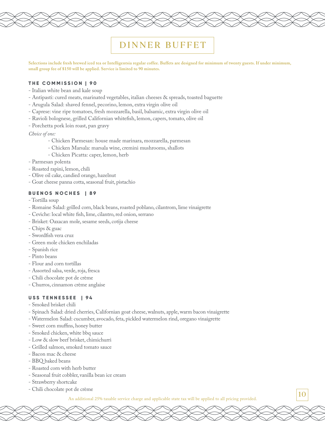## DINNER BUFFET

**Selections include fresh brewed iced tea or Intelligentsia regular coffee. Buffets are designed for minimum of twenty guests. If under minimum, small group fee of \$150 will be applied. Service is limited to 90 minutes.**

#### **THE COMMISSION | 90**

- Italian white bean and kale soup
- Antipasti: cured meats, marinated vegetables, italian cheeses & spreads, toasted baguette
- Arugula Salad: shaved fennel, pecorino, lemon, extra virgin olive oil
- Caprese: vine ripe tomatoes, fresh mozzarella, basil, balsamic, extra virgin olive oil
- Ravioli bolognese, grilled Californian whitefish, lemon, capers, tomato, olive oil
- Porchetta pork loin roast, pan gravy

#### *Choice of one:*

- Chicken Parmesan: house made marinara, mozzarella, parmesan
- Chicken Marsala: marsala wine, cremini mushrooms, shallots
- Chicken Picatta: caper, lemon, herb
- Parmesan polenta
- Roasted rapini, lemon, chili
- Olive oil cake, candied orange, hazelnut
- Goat cheese panna cotta, seasonal fruit, pistachio

## **BUENOS NOCHES | 89**

- Tortilla soup
- Romaine Salad: grilled corn, black beans, roasted poblano, cilantrom, lime vinaigrette
- Ceviche: local white fish, lime, cilantro, red onion, serrano
- Brisket: Oaxacan mole, sesame seeds, cotija cheese
- Chips & guac
- Swordfish vera cruz
- Green mole chicken enchiladas
- Spanish rice
- Pinto beans
- Flour and corn tortillas
- Assorted salsa, verde, roja, fresca
- Chili chocolate pot de crème
- Churros, cinnamon crème anglaise

#### **USS TENNESSEE | 94**

- Smoked brisket chili
- Spinach Salad: dried cherries, Californian goat cheese, walnuts, apple, warm bacon vinaigrette
- Watermelon Salad: cucumber, avocado, feta, pickled watermelon rind, oregano vinaigrette
- Sweet corn muffins, honey butter
- Smoked chicken, white bbq sauce
- Low & slow beef brisket, chimichurri
- Grilled salmon, smoked tomato sauce
- Bacon mac & cheese
- BBQ baked beans
- Roasted corn with herb butter
- Seasonal fruit cobbler, vanilla bean ice cream
- Strawberry shortcake
- Chili chocolate pot de crème